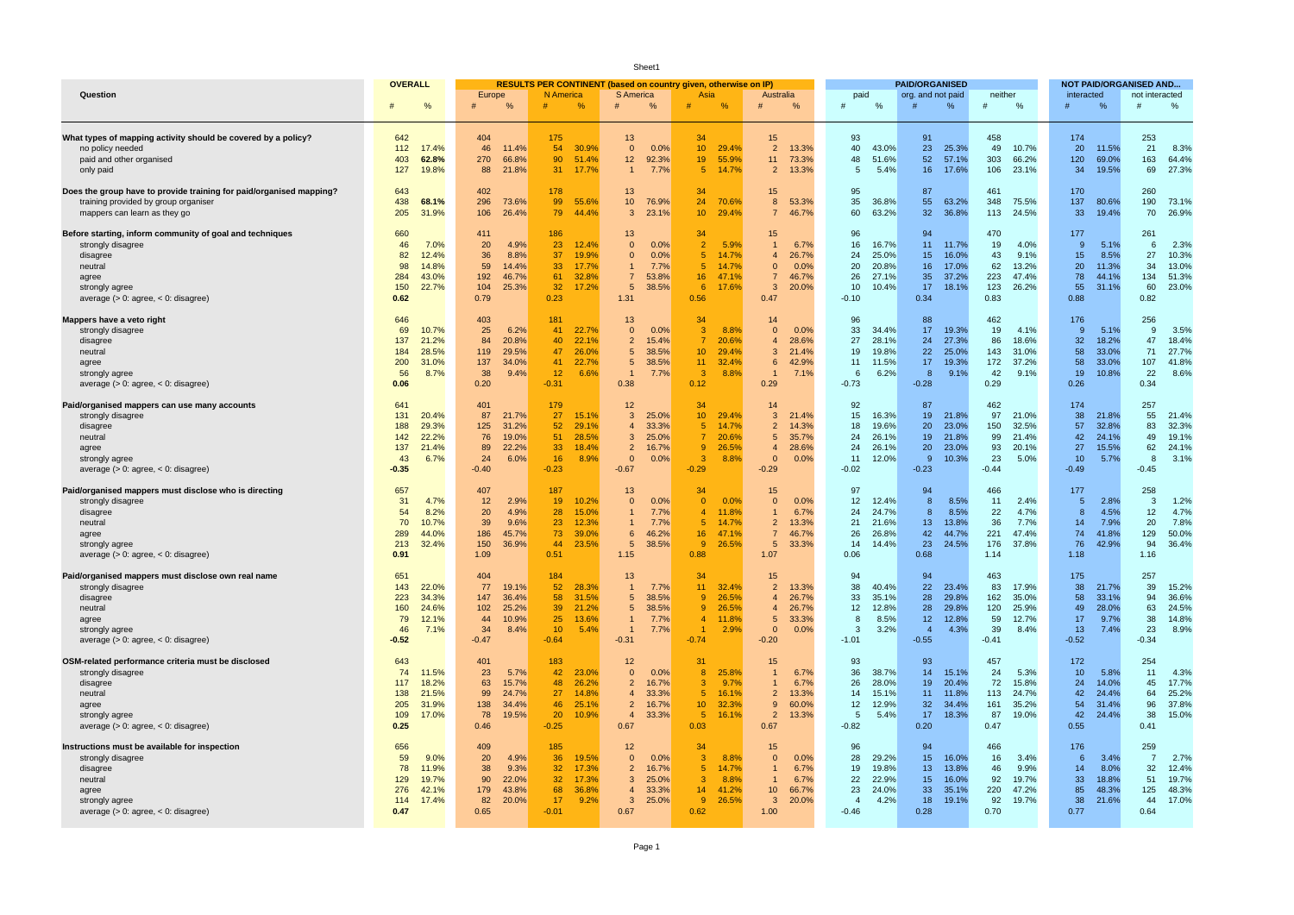| Sheet1                                                                                                                                                                       |                                                                                              |                                                                                            |                                                                                                                               |                                                                                                                                      |                                                                                                                                                |                                                                                                                                      |                                                                                                     |                                                                                                     |                                                                                            |                                                                                                  |                                                                                                                 |  |
|------------------------------------------------------------------------------------------------------------------------------------------------------------------------------|----------------------------------------------------------------------------------------------|--------------------------------------------------------------------------------------------|-------------------------------------------------------------------------------------------------------------------------------|--------------------------------------------------------------------------------------------------------------------------------------|------------------------------------------------------------------------------------------------------------------------------------------------|--------------------------------------------------------------------------------------------------------------------------------------|-----------------------------------------------------------------------------------------------------|-----------------------------------------------------------------------------------------------------|--------------------------------------------------------------------------------------------|--------------------------------------------------------------------------------------------------|-----------------------------------------------------------------------------------------------------------------|--|
|                                                                                                                                                                              | <b>OVERALL</b>                                                                               |                                                                                            |                                                                                                                               | RESULTS PER CONTINENT (based on country given, otherwise on IP)                                                                      |                                                                                                                                                |                                                                                                                                      |                                                                                                     | <b>PAID/ORGANISED</b>                                                                               |                                                                                            |                                                                                                  | <b>NOT PAID/ORGANISED AND</b>                                                                                   |  |
| Question                                                                                                                                                                     | $\frac{0}{6}$                                                                                | Europe<br>$\frac{0}{6}$                                                                    | N America<br>$\frac{0}{6}$                                                                                                    | <b>S</b> America<br>$\frac{0}{6}$                                                                                                    | Asia<br>$\frac{0}{0}$                                                                                                                          | Australia<br>$\frac{0}{0}$<br>#                                                                                                      | paid<br>0/<br>#                                                                                     | org. and not paid<br>%                                                                              | neither<br>$\%$<br>#                                                                       | interacted<br>%                                                                                  | not interacted<br>%<br>#                                                                                        |  |
| What types of mapping activity should be covered by a policy?<br>no policy needed<br>paid and other organised<br>only paid                                                   | 642<br>17.4%<br>112<br>403<br>62.8%<br>127<br>19.8%                                          | 404<br>46<br>11.4%<br>270<br>66.8%<br>88<br>21.8%                                          | 175<br>54<br>30.9%<br>90<br>51.4%<br>31<br>17.7%                                                                              | 13<br>$\overline{0}$<br>0.0%<br>12<br>92.3%<br>7.7%<br>$\mathbf{1}$                                                                  | 34<br>10 <sup>°</sup><br>29.4%<br>55.9%<br>19<br>5 <sup>°</sup><br>14.7%                                                                       | 15<br>$\overline{2}$<br>13.3%<br>11<br>73.3%<br>$\overline{2}$<br>13.3%                                                              | 93<br>40<br>43.0%<br>51.6%<br>48<br>5<br>5.4%                                                       | 91<br>23<br>25.3%<br>52<br>57.1%<br>16<br>17.6%                                                     | 458<br>49<br>10.7%<br>303<br>66.2%<br>106<br>23.1%                                         | 174<br>20<br>11.5%<br>120<br>69.0%<br>34<br>19.5%                                                | 253<br>21<br>8.3%<br>163<br>64.4%<br>69<br>27.3%                                                                |  |
| Does the group have to provide training for paid/organised mapping?<br>training provided by group organiser<br>mappers can learn as they go                                  | 643<br>438<br>68.1%<br>205<br>31.9%                                                          | 402<br>296<br>73.6%<br>26.4%<br>106                                                        | 178<br>99<br>55.6%<br>79<br>44.4%                                                                                             | 13<br>10<br>76.9%<br>3<br>23.1%                                                                                                      | 34<br>24<br>70.6%<br>$10-1$<br>29.4%                                                                                                           | 15<br>8<br>53.3%<br>$\overline{7}$<br>46.7%                                                                                          | 95<br>35<br>36.8%<br>63.2%<br>60                                                                    | 87<br>55<br>63.2%<br>32 <sup>°</sup><br>36.8%                                                       | 461<br>348<br>75.5%<br>113<br>24.5%                                                        | 170<br>137<br>80.6%<br>33<br>19.4%                                                               | 260<br>190<br>73.1%<br>70<br>26.9%                                                                              |  |
| Before starting, inform community of goal and techniques<br>strongly disagree<br>disagree<br>neutral<br>agree<br>strongly agree<br>average $(> 0$ : agree, $< 0$ : disagree) | 660<br>46<br>7.0%<br>82<br>12.4%<br>98<br>14.8%<br>43.0%<br>284<br>150<br>22.7%<br>0.62      | 411<br>20<br>4.9%<br>36<br>8.8%<br>59<br>14.4%<br>192<br>46.7%<br>104<br>25.3%<br>0.79     | 186<br>23 <sup>2</sup><br>12.4%<br>37<br>19.9%<br>33 <sup>°</sup><br>17.7%<br>61<br>32.8%<br>32 <sup>2</sup><br>17.2%<br>0.23 | 13<br>$\Omega$<br>0.0%<br>0.0%<br>$\Omega$<br>7.7%<br>$\mathbf{1}$<br>53.8%<br>7<br>5<br>38.5%<br>1.31                               | 34<br>$\overline{2}$<br>5.9%<br>5 <sup>1</sup><br>14.7%<br>5 <sup>°</sup><br>14.7%<br>16 <sup>1</sup><br>47.1%<br>$6^{\circ}$<br>17.6%<br>0.56 | 15<br>$\mathbf{1}$<br>6.7%<br>26.7%<br>$\overline{4}$<br>0.0%<br>$\mathbf 0$<br>$\overline{7}$<br>46.7%<br>3<br>20.0%<br>0.47        | 96<br>16<br>16.7%<br>25.0%<br>24<br>20.8%<br>20<br>26<br>27.1%<br>10<br>10.4%<br>$-0.10$            | 94<br>11<br>11.7%<br>15<br>16.0%<br>16<br>17.0%<br>35<br>37.2%<br>18.1%<br>17<br>0.34               | 470<br>19<br>4.0%<br>43<br>9.1%<br>62<br>13.2%<br>223<br>47.4%<br>123<br>26.2%<br>0.83     | 177<br>5.1%<br>-9<br>15<br>8.5%<br>20<br>11.3%<br>78<br>44.1%<br>55<br>31.1%<br>0.88             | 261<br>6<br>2.3%<br>27<br>10.3%<br>34<br>13.0%<br>134<br>51.3%<br>60<br>23.0%<br>0.82                           |  |
| Mappers have a veto right<br>strongly disagree<br>disagree<br>neutral<br>agree<br>strongly agree<br>average $(> 0$ : agree, $< 0$ : disagree)                                | 646<br>69<br>10.7%<br>137<br>21.2%<br>28.5%<br>184<br>200<br>31.0%<br>56<br>8.7%<br>0.06     | 403<br>25<br>6.2%<br>84<br>20.8%<br>119<br>29.5%<br>137<br>34.0%<br>38<br>9.4%<br>0.20     | 181<br>41<br>22.7%<br>22.1%<br>40<br>47<br>26.0%<br>22.7%<br>41<br>12 <sup>2</sup><br>6.6%<br>$-0.31$                         | 13<br>$\Omega$<br>0.0%<br>$\overline{c}$<br>15.4%<br>38.5%<br>5<br>5<br>38.5%<br>7.7%<br>0.38                                        | 34<br>$\mathbf{3}$<br>8.8%<br>$\overline{7}$<br>20.6%<br>29.4%<br>$10-10$<br>11<br>32.4%<br>$\mathbf{3}$<br>8.8%<br>0.12                       | 14<br>$\Omega$<br>0.0%<br>28.6%<br>$\overline{4}$<br>3<br>21.4%<br>6<br>42.9%<br>7.1%<br>$\mathbf{1}$<br>0.29                        | 96<br>33<br>34.4%<br>28.1%<br>27<br>19<br>19.8%<br>11<br>11.5%<br>6<br>6.2%<br>$-0.73$              | 88<br>19.3%<br>17<br>24<br>27.3%<br>22<br>25.0%<br>17<br>19.3%<br>8<br>9.1%<br>$-0.28$              | 462<br>19<br>4.1%<br>86<br>18.6%<br>143<br>31.0%<br>172<br>37.2%<br>42<br>9.1%<br>0.29     | 176<br>5.1%<br>-9<br>32<br>18.2%<br>58<br>33.0%<br>58<br>33.0%<br>10.8%<br>19<br>0.26            | 256<br>3.5%<br>9<br>47<br>18.4%<br>71<br>27.7%<br>107<br>41.8%<br>22<br>8.6%<br>0.34                            |  |
| Paid/organised mappers can use many accounts<br>strongly disagree<br>disagree<br>neutral<br>agree<br>strongly agree<br>average $(> 0$ : agree, $< 0$ : disagree)             | 641<br>131<br>20.4%<br>188<br>29.3%<br>142<br>22.2%<br>137<br>21.4%<br>43<br>6.7%<br>$-0.35$ | 401<br>87<br>21.7%<br>125<br>31.2%<br>76<br>19.0%<br>22.2%<br>89<br>24<br>6.0%<br>$-0.40$  | 179<br>27<br>15.1%<br>52 <sub>2</sub><br>29.1%<br>51<br>28.5%<br>33<br>18.4%<br>16<br>8.9%<br>$-0.23$                         | 12<br>3<br>25.0%<br>33.3%<br>$\overline{4}$<br>3<br>25.0%<br>2<br>16.7%<br>$0.0\%$<br>$\Omega$<br>$-0.67$                            | 34<br>$10-10$<br>29.4%<br>5 <sup>1</sup><br>14.7%<br>20.6%<br>$\overline{7}$<br>26.5%<br>$9^{\circ}$<br>3<br>8.8%<br>$-0.29$                   | 14<br>3<br>21.4%<br>2<br>14.3%<br>5<br>35.7%<br>28.6%<br>$\overline{4}$<br>$\overline{0}$<br>0.0%<br>$-0.29$                         | 92<br>16.3%<br>15<br>19.6%<br>18<br>24<br>26.1%<br>26.1%<br>24<br>11<br>12.0%<br>$-0.02$            | 87<br>19<br>21.8%<br>20<br>23.0%<br>19<br>21.8%<br>20<br>23.0%<br>9<br>10.3%<br>$-0.23$             | 462<br>97<br>21.0%<br>32.5%<br>150<br>99<br>21.4%<br>93<br>20.1%<br>23<br>5.0%<br>$-0.44$  | 174<br>38<br>21.8%<br>57<br>32.8%<br>42<br>24.1%<br>15.5%<br>27<br>10<br>5.7%<br>$-0.49$         | 257<br>55<br>21.4%<br>83<br>32.3%<br>19.1%<br>49<br>62<br>24.1%<br>-8<br>3.1%<br>$-0.45$                        |  |
| Paid/organised mappers must disclose who is directing<br>strongly disagree<br>disagree<br>neutral<br>agree<br>strongly agree<br>average $(> 0$ : agree, $< 0$ : disagree)    | 657<br>31<br>4.7%<br>8.2%<br>54<br>70<br>10.7%<br>289<br>44.0%<br>32.4%<br>213<br>0.91       | 407<br>12<br>2.9%<br>20<br>4.9%<br>39<br>9.6%<br>186<br>45.7%<br>150<br>36.9%<br>1.09      | 187<br>19<br>10.2%<br>28<br>15.0%<br>23<br>12.3%<br>73<br>39.0%<br>44<br>23.5%<br>0.51                                        | 13<br>$\Omega$<br>0.0%<br>7.7%<br>7.7%<br>46.2%<br>6<br>38.5%<br>1.15                                                                | 34<br>$\overline{0}$<br>0.0%<br>11.8%<br>$\overline{4}$<br>14.7%<br>5 <sup>°</sup><br>16 <sup>1</sup><br>47.1%<br>9<br>26.5%<br>0.88           | 15<br>$\Omega$<br>0.0%<br>6.7%<br>$\overline{2}$<br>13.3%<br>46.7%<br>33.3%<br>5<br>1.07                                             | 97<br>12<br>12.4%<br>24<br>24.7%<br>21.6%<br>21<br>26<br>26.8%<br>14<br>14.4%<br>0.06               | 94<br>8<br>8.5%<br>8<br>8.5%<br>13<br>13.8%<br>42<br>44.7%<br>23<br>24.5%<br>0.68                   | 466<br>11<br>2.4%<br>22<br>4.7%<br>36<br>7.7%<br>221<br>47.4%<br>176<br>37.8%<br>1.14      | 177<br>2.8%<br>5<br>8<br>4.5%<br>7.9%<br>14<br>74<br>41.8%<br>76<br>42.9%<br>1.18                | 258<br>-3<br>1.2%<br>12<br>4.7%<br>20<br>7.8%<br>129<br>50.0%<br>94<br>36.4%<br>1.16                            |  |
| Paid/organised mappers must disclose own real name<br>strongly disagree<br>disagree<br>neutral<br>agree<br>strongly agree<br>average $(> 0$ : agree, $< 0$ : disagree)       | 651<br>143<br>22.0%<br>34.3%<br>223<br>160<br>24.6%<br>79<br>12.1%<br>46<br>7.1%<br>$-0.52$  | 404<br>77<br>19.1%<br>147<br>36.4%<br>102<br>25.2%<br>44<br>10.9%<br>34<br>8.4%<br>$-0.47$ | 184<br>52 <sub>2</sub><br>28.3%<br>58<br>31.5%<br>39<br>21.2%<br>25<br>13.6%<br>10 <sup>°</sup><br>5.4%<br>$-0.64$            | 13<br>$\mathbf{1}$<br>7.7%<br>38.5%<br>5<br>38.5%<br>5<br>$7.7\%$<br>$\mathbf{1}$<br>7.7%<br>$\overline{1}$<br>$-0.31$               | 34<br>11<br>32.4%<br>26.5%<br>$9^{\circ}$<br>26.5%<br>$9^{\circ}$<br>11.8%<br>$\overline{4}$<br>2.9%<br>$\mathbf{1}$<br>$-0.74$                | 15<br>$\overline{2}$<br>13.3%<br>26.7%<br>$\overline{4}$<br>26.7%<br>$\overline{4}$<br>5<br>33.3%<br>0.0%<br>$\mathbf{0}$<br>$-0.20$ | 94<br>38<br>40.4%<br>35.1%<br>33<br>12<br>12.8%<br>8<br>8.5%<br>3.2%<br>-3<br>$-1.01$               | 94<br>22<br>23.4%<br>28<br>29.8%<br>28<br>29.8%<br>12<br>12.8%<br>4.3%<br>$\overline{4}$<br>$-0.55$ | 463<br>83<br>17.9%<br>35.0%<br>162<br>120<br>25.9%<br>59<br>12.7%<br>8.4%<br>39<br>$-0.41$ | 175<br>38<br>21.7%<br>33.1%<br>58<br>49<br>28.0%<br>17<br>9.7%<br>13<br>7.4%<br>$-0.52$          | 257<br>39<br>15.2%<br>94<br>36.6%<br>24.5%<br>63<br>38<br>14.8%<br>23<br>8.9%<br>$-0.34$                        |  |
| OSM-related performance criteria must be disclosed<br>strongly disagree<br>disagree<br>neutral<br>agree<br>strongly agree<br>average $(> 0$ : agree, $< 0$ : disagree)       | 643<br>74<br>11.5%<br>117<br>18.2%<br>138<br>21.5%<br>205<br>31.9%<br>109<br>17.0%<br>0.25   | 401<br>23<br>5.7%<br>63<br>15.7%<br>99<br>24.7%<br>138<br>34.4%<br>78<br>19.5%<br>0.46     | 183<br>42<br>23.0%<br>48<br>26.2%<br>27 <sup>2</sup><br>14.8%<br>46<br>25.1%<br>10.9%<br>20 <sup>°</sup><br>$-0.25$           | 12<br>$\overline{0}$<br>0.0%<br>2<br>16.7%<br>33.3%<br>$\overline{4}$<br>$\overline{2}$<br>16.7%<br>33.3%<br>$\overline{4}$<br>0.67  | 31<br>8 <sup>°</sup><br>25.8%<br>3 <sup>°</sup><br>9.7%<br>5 <sup>1</sup><br>16.1%<br>$10-10$<br>32.3%<br>5 <sub>1</sub><br>16.1%<br>0.03      | 15<br>6.7%<br>$\mathbf{1}$<br>$\mathbf{1}$<br>6.7%<br>$\overline{2}$<br>13.3%<br>9<br>60.0%<br>$\overline{2}$<br>13.3%<br>0.67       | 93<br>36<br>38.7%<br>28.0%<br>26<br>14<br>15.1%<br>12<br>12.9%<br>5<br>5.4%<br>$-0.82$              | 93<br>14<br>15.1%<br>19<br>20.4%<br>11<br>11.8%<br>32<br>34.4%<br>17<br>18.3%<br>0.20               | 457<br>24<br>5.3%<br>15.8%<br>72<br>113<br>24.7%<br>161<br>35.2%<br>19.0%<br>87<br>0.47    | 172<br>10<br>5.8%<br>24<br>14.0%<br>42<br>24.4%<br>54<br>31.4%<br>42<br>24.4%<br>0.55            | 254<br>4.3%<br>11<br>45<br>17.7%<br>64<br>25.2%<br>96<br>37.8%<br>38<br>15.0%<br>0.41                           |  |
| Instructions must be available for inspection<br>strongly disagree<br>disagree<br>neutral<br>agree<br>strongly agree<br>average $(> 0$ : agree, $< 0$ : disagree)            | 656<br>59<br>9.0%<br>78<br>11.9%<br>129<br>19.7%<br>42.1%<br>276<br>17.4%<br>114<br>0.47     | 409<br>20<br>4.9%<br>38<br>9.3%<br>90<br>22.0%<br>43.8%<br>179<br>82<br>20.0%<br>0.65      | 185<br>36<br>19.5%<br>32 <sup>2</sup><br>17.3%<br>32 17.3%<br>68<br>36.8%<br>17<br>9.2%<br>$-0.01$                            | 12<br>$\overline{0}$<br>0.0%<br>$\overline{2}$<br>16.7%<br>25.0%<br>3 <sup>2</sup><br>33.3%<br>$\overline{4}$<br>25.0%<br>-3<br>0.67 | 34<br>3 <sup>°</sup><br>8.8%<br>5 <sup>1</sup><br>14.7%<br>8.8%<br>3 <sup>°</sup><br>14<br>41.2%<br>26.5%<br>9<br>0.62                         | 15<br>$\mathbf{0}$<br>0.0%<br>6.7%<br>$\mathbf{1}$<br>6.7%<br>$\mathbf{1}$<br>10<br>66.7%<br>$\mathbf{3}$<br>20.0%<br>1.00           | 96<br>28<br>29.2%<br>19.8%<br>19<br>22<br>22.9%<br>23<br>24.0%<br>4.2%<br>$\overline{4}$<br>$-0.46$ | 94<br>15<br>16.0%<br>13<br>13.8%<br>15<br>16.0%<br>33<br>35.1%<br>18<br>19.1%<br>0.28               | 466<br>16<br>3.4%<br>46<br>9.9%<br>92<br>19.7%<br>220<br>47.2%<br>92<br>19.7%<br>0.70      | 176<br>6<br>3.4%<br>14<br>8.0%<br>33 <sup>°</sup><br>18.8%<br>85<br>48.3%<br>21.6%<br>38<br>0.77 | 259<br>$\overline{7}$<br>2.7%<br>32 <sup>2</sup><br>12.4%<br>51<br>19.7%<br>125<br>48.3%<br>44<br>17.0%<br>0.64 |  |